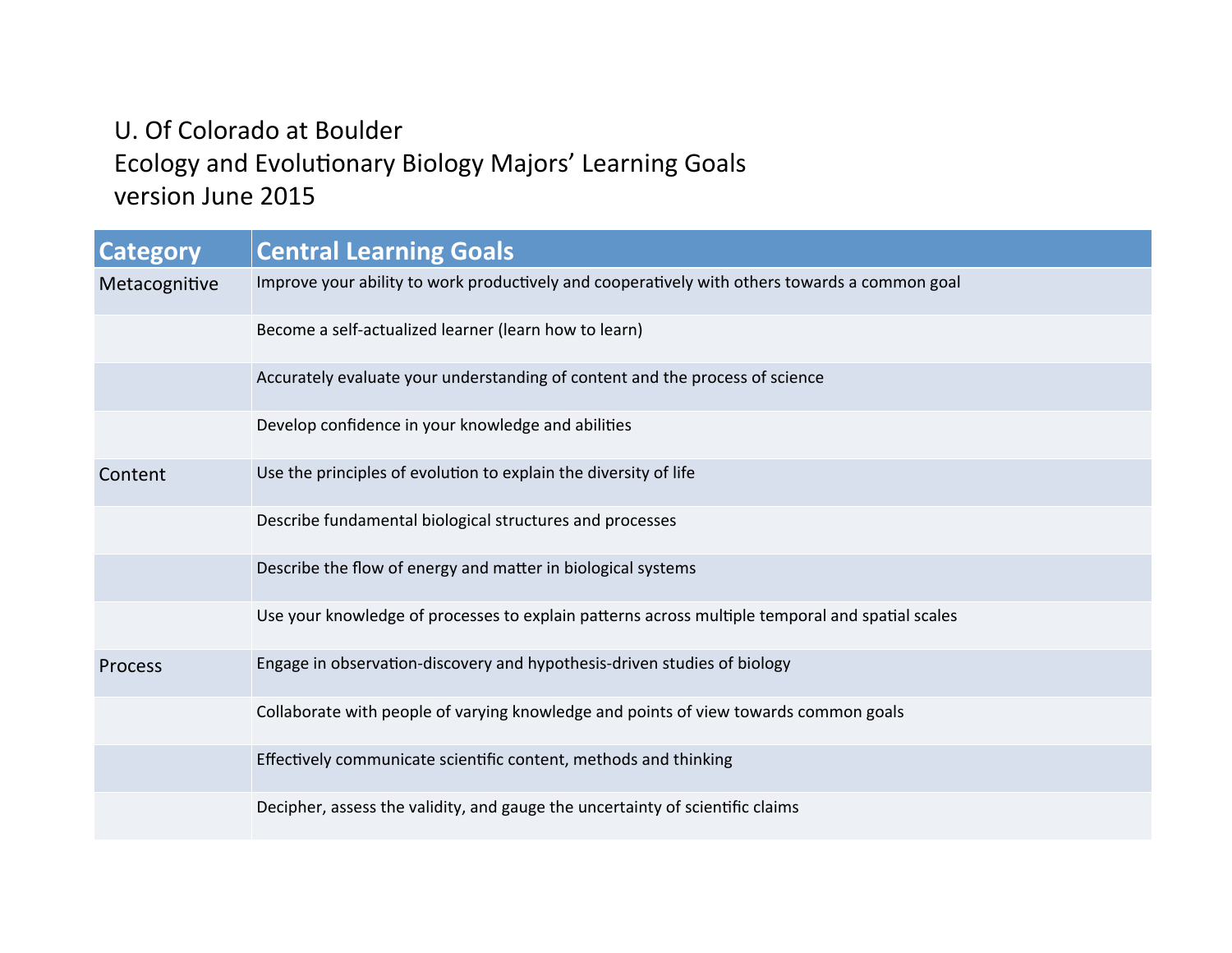# U. Of Colorado at Boulder Ecology and Evolutionary Biology Majors' Learning Goals version June 2015

| Category      | <b>Central Learning Goals</b>                                                                   |
|---------------|-------------------------------------------------------------------------------------------------|
| Metacognitive | Improve your ability to work productively and cooperatively with others towards a common goal   |
|               | Become a self-actualized learner (learn how to learn)                                           |
|               | Accurately evaluate your understanding of content and the process of science                    |
|               | Develop confidence in your knowledge and abilities                                              |
| Content       | Use the principles of evolution to explain the diversity of life                                |
|               | Describe fundamental biological structures and processes                                        |
|               | Describe the flow of energy and matter in biological systems                                    |
|               | Use your knowledge of processes to explain patterns across multiple temporal and spatial scales |
| Process       | Engage in observation-discovery and hypothesis-driven studies of biology                        |
|               | Collaborate with people of varying knowledge and points of view towards common goals            |
|               | Effectively communicate scientific content, methods and thinking                                |
|               | Decipher, assess the validity, and gauge the uncertainty of scientific claims                   |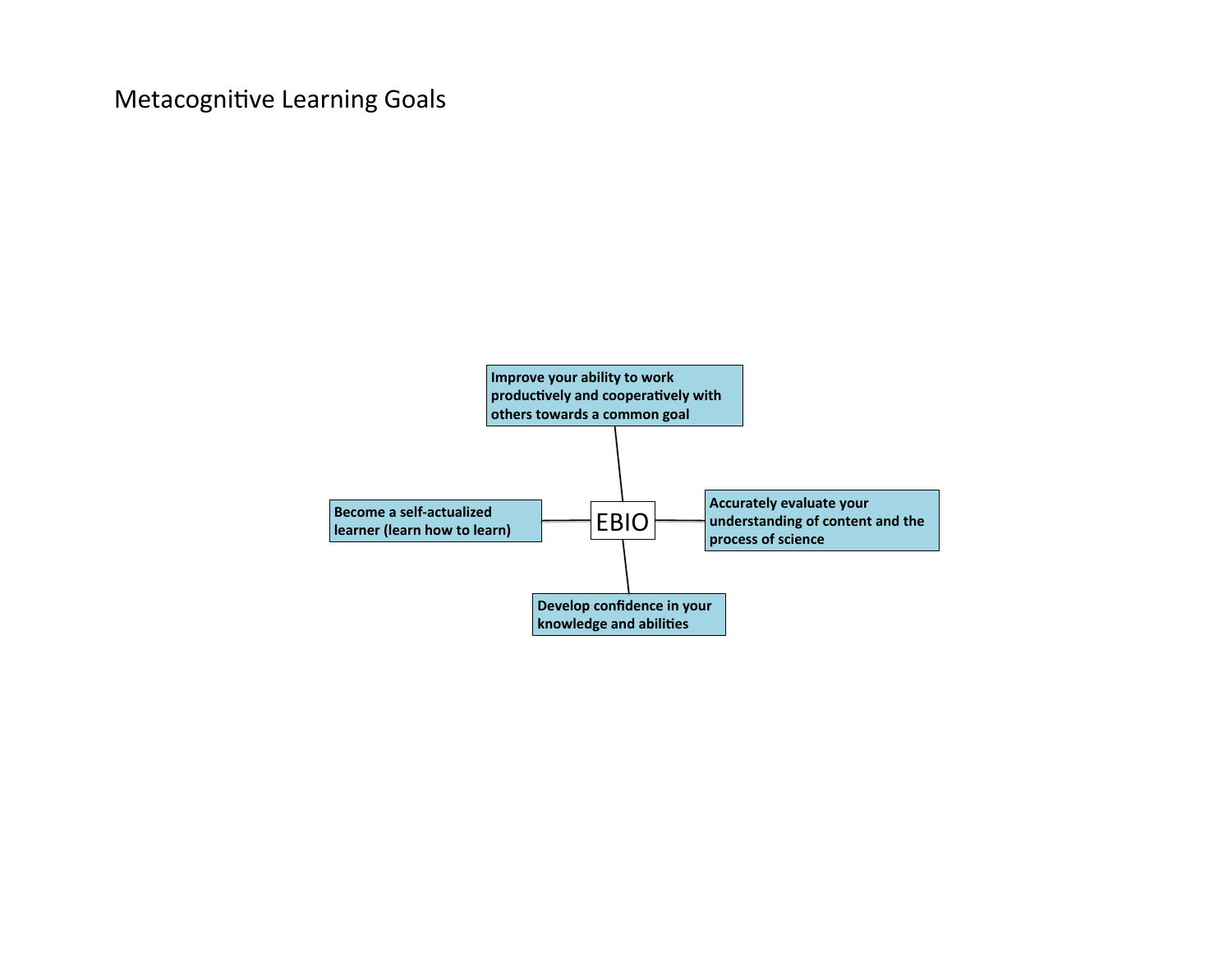## Metacognitive Learning Goals

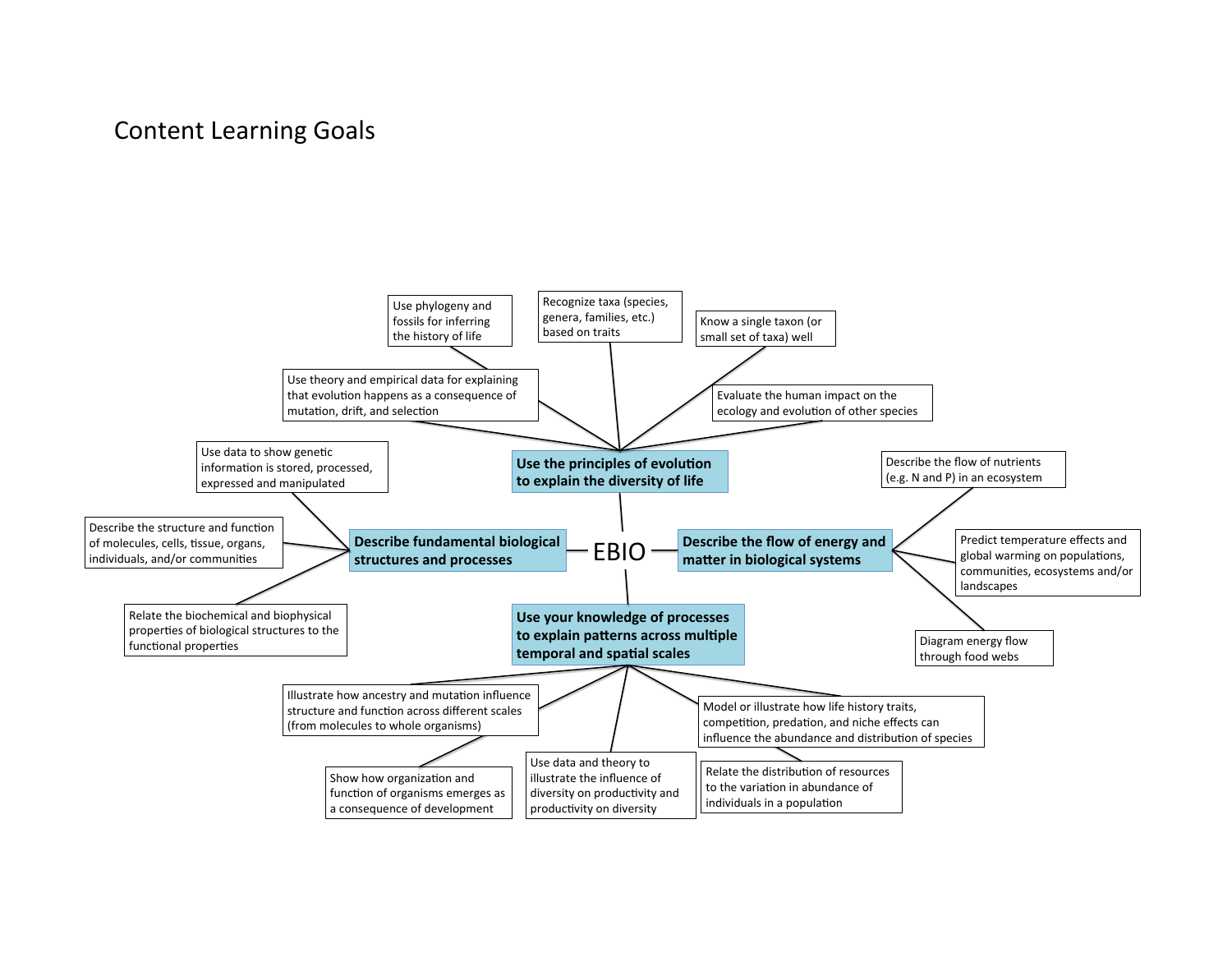#### **Content Learning Goals**

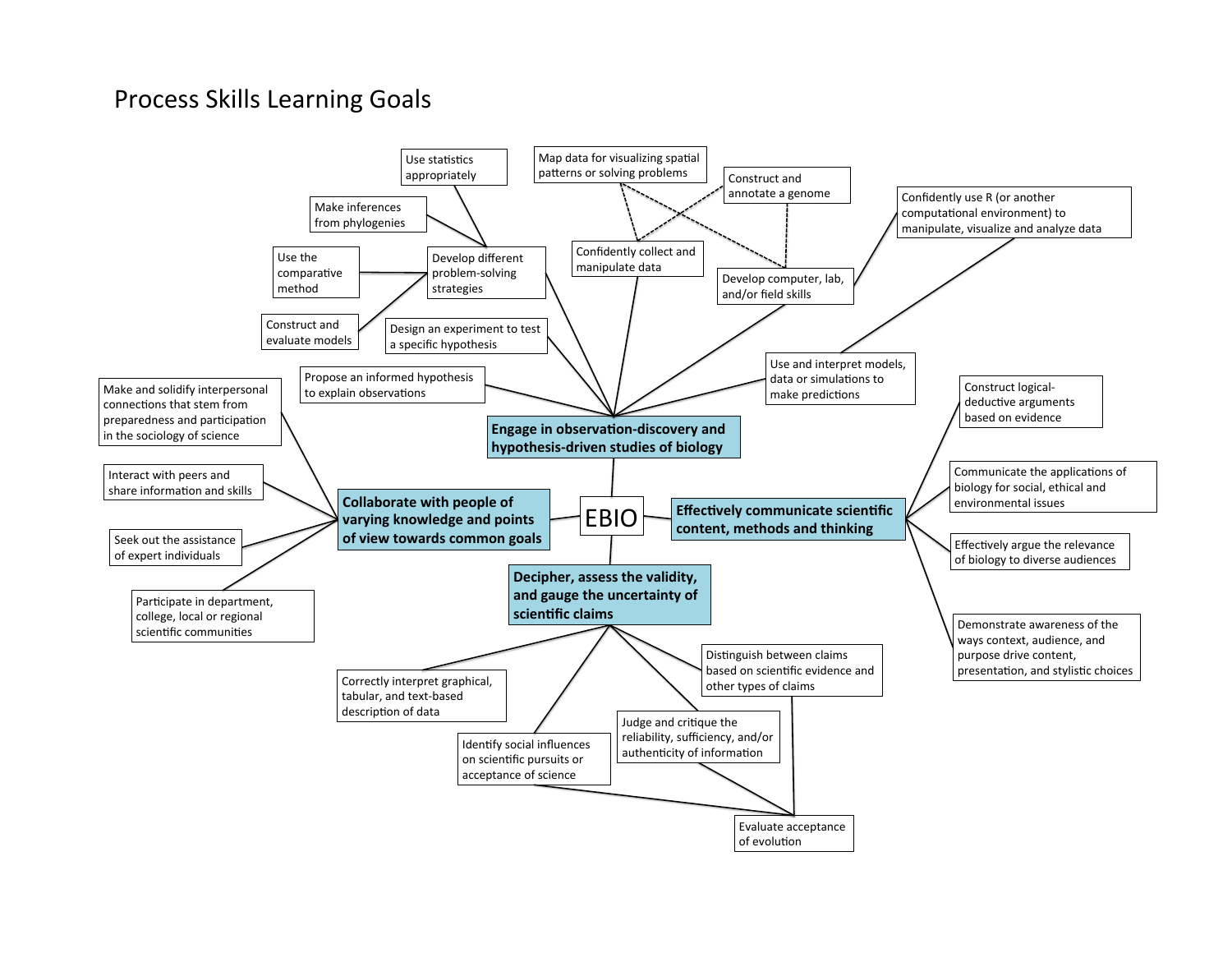### Process Skills Learning Goals